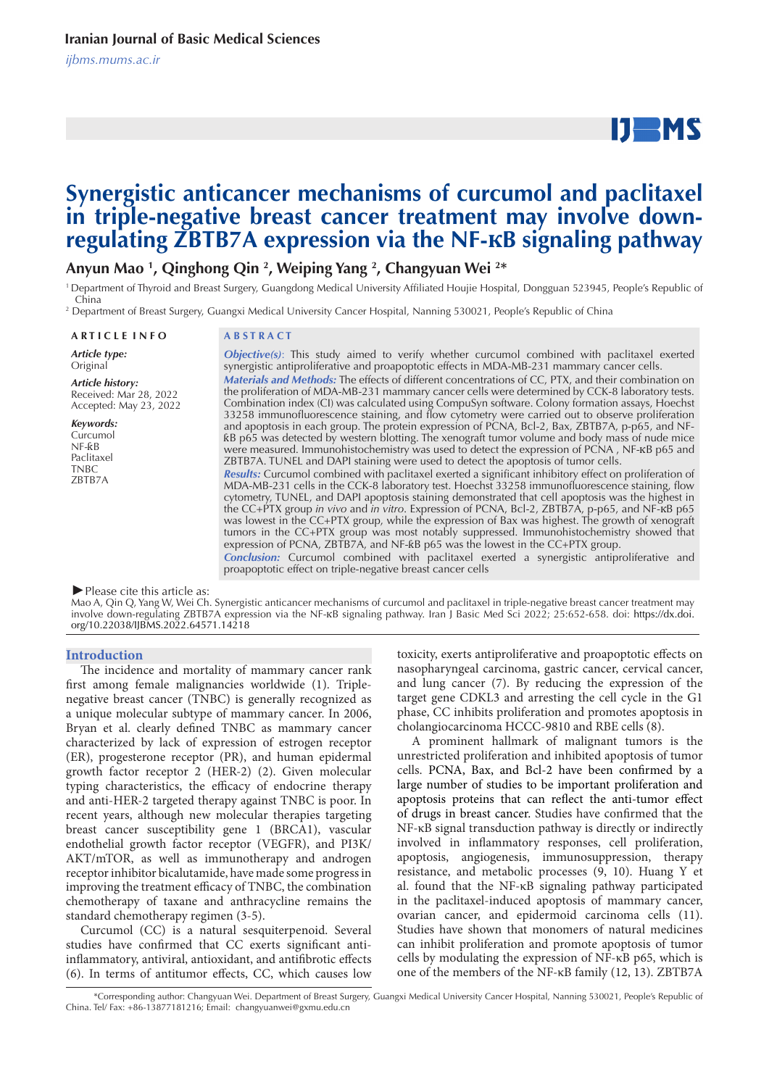*ijbms.mums.ac.ir*

# $IJ$  MS

## **Synergistic anticancer mechanisms of curcumol and paclitaxel in triple-negative breast cancer treatment may involve downregulating ZBTB7A expression via the NF-�B signaling pathway**

**Anyun Mao 1 , Qinghong Qin 2 , Weiping Yang 2 , Changyuan Wei 2 \***

<sup>1</sup> Department of Thyroid and Breast Surgery, Guangdong Medical University Affiliated Houjie Hospital, Dongguan 523945, People's Republic of China

2 Department of Breast Surgery, Guangxi Medical University Cancer Hospital, Nanning 530021, People's Republic of China

**A R T I C L E I N F O A B S T R A C T**

*Article type:* Original

*Keywords:* **Curcumol** NF-ƙB Paclitaxel **TNBC** ZBTB7A

*Article history:* Received: Mar 28, 2022 Accepted: May 23, 2022

*Objective(s)*: This study aimed to verify whether curcumol combined with paclitaxel exerted synergistic antiproliferative and proapoptotic effects in MDA-MB-231 mammary cancer cells. *Materials and Methods:* The effects of different concentrations of CC, PTX, and their combination on the proliferation of MDA-MB-231 mammary cancer cells were determined by CCK-8 laboratory tests. Combination index (CI) was calculated using CompuSyn software. Colony formation assays, Hoechst 33258 immunofluorescence staining, and flow cytometry were carried out to observe proliferation and apoptosis in each group. The protein expression of PCNA, Bcl-2, Bax, ZBTB7A, p-p65, and NFƙB p65 was detected by western blotting. The xenograft tumor volume and body mass of nude mice were measured. Immunohistochemistry was used to detect the expression of PCNA, NF- $\kappa$ B p65 and ZBTB7A. TUNEL and DAPI staining were used to detect the apoptosis of tumor cells. *Results:* Curcumol combined with paclitaxel exerted a significant inhibitory effect on proliferation of

MDA-MB-231 cells in the CCK-8 laboratory test. Hoechst 33258 immunofluorescence staining, flow cytometry, TUNEL, and DAPI apoptosis staining demonstrated that cell apoptosis was the highest in the CC+PTX group *in vivo* and *in vitro*. Expression of PCNA, Bcl-2, ZBTB7A, p-p65, and NF-�B p65 was lowest in the CC+PTX group, while the expression of Bax was highest. The growth of xenograft tumors in the CC+PTX group was most notably suppressed. Immunohistochemistry showed that expression of PCNA, ZBTB7A, and NF-ƙB p65 was the lowest in the CC+PTX group.

*Conclusion:* Curcumol combined with paclitaxel exerted a synergistic antiproliferative and proapoptotic effect on triple-negative breast cancer cells

#### *►*Please cite this article as:

Mao A, Qin Q, Yang W, Wei Ch. Synergistic anticancer mechanisms of curcumol and paclitaxel in triple-negative breast cancer treatment may involve down-regulating ZBTB7A expression via the NF-xB signaling pathway. Iran J Basic Med Sci 2022; 25:652-658. doi: https://dx.doi. org/10.22038/IJBMS.2022.64571.14218

#### **Introduction**

The incidence and mortality of mammary cancer rank first among female malignancies worldwide (1). Triplenegative breast cancer (TNBC) is generally recognized as a unique molecular subtype of mammary cancer. In 2006, Bryan et al. clearly defined TNBC as mammary cancer characterized by lack of expression of estrogen receptor (ER), progesterone receptor (PR), and human epidermal growth factor receptor 2 (HER-2) (2). Given molecular typing characteristics, the efficacy of endocrine therapy and anti-HER-2 targeted therapy against TNBC is poor. In recent years, although new molecular therapies targeting breast cancer susceptibility gene 1 (BRCA1), vascular endothelial growth factor receptor (VEGFR), and PI3K/ AKT/mTOR, as well as immunotherapy and androgen receptor inhibitor bicalutamide, have made some progress in improving the treatment efficacy of TNBC, the combination chemotherapy of taxane and anthracycline remains the standard chemotherapy regimen (3-5).

Curcumol (CC) is a natural sesquiterpenoid. Several studies have confirmed that CC exerts significant antiinflammatory, antiviral, antioxidant, and antifibrotic effects (6). In terms of antitumor effects, CC, which causes low toxicity, exerts antiproliferative and proapoptotic effects on nasopharyngeal carcinoma, gastric cancer, cervical cancer, and lung cancer (7). By reducing the expression of the target gene CDKL3 and arresting the cell cycle in the G1 phase, CC inhibits proliferation and promotes apoptosis in cholangiocarcinoma HCCC-9810 and RBE cells (8).

A prominent hallmark of malignant tumors is the unrestricted proliferation and inhibited apoptosis of tumor cells. PCNA, Bax, and Bcl-2 have been confirmed by a large number of studies to be important proliferation and apoptosis proteins that can reflect the anti-tumor effect of drugs in breast cancer. Studies have confirmed that the NF-κB signal transduction pathway is directly or indirectly involved in inflammatory responses, cell proliferation, apoptosis, angiogenesis, immunosuppression, therapy resistance, and metabolic processes (9, 10). Huang Y et al. found that the NF-κB signaling pathway participated in the paclitaxel-induced apoptosis of mammary cancer, ovarian cancer, and epidermoid carcinoma cells (11). Studies have shown that monomers of natural medicines can inhibit proliferation and promote apoptosis of tumor cells by modulating the expression of NF-κB p65, which is one of the members of the NF-κB family (12, 13). ZBTB7A

 <sup>\*</sup>Corresponding author: Changyuan Wei. Department of Breast Surgery, Guangxi Medical University Cancer Hospital, Nanning 530021, People's Republic of China. Tel/ Fax: +86-13877181216; Email: changyuanwei@gxmu.edu.cn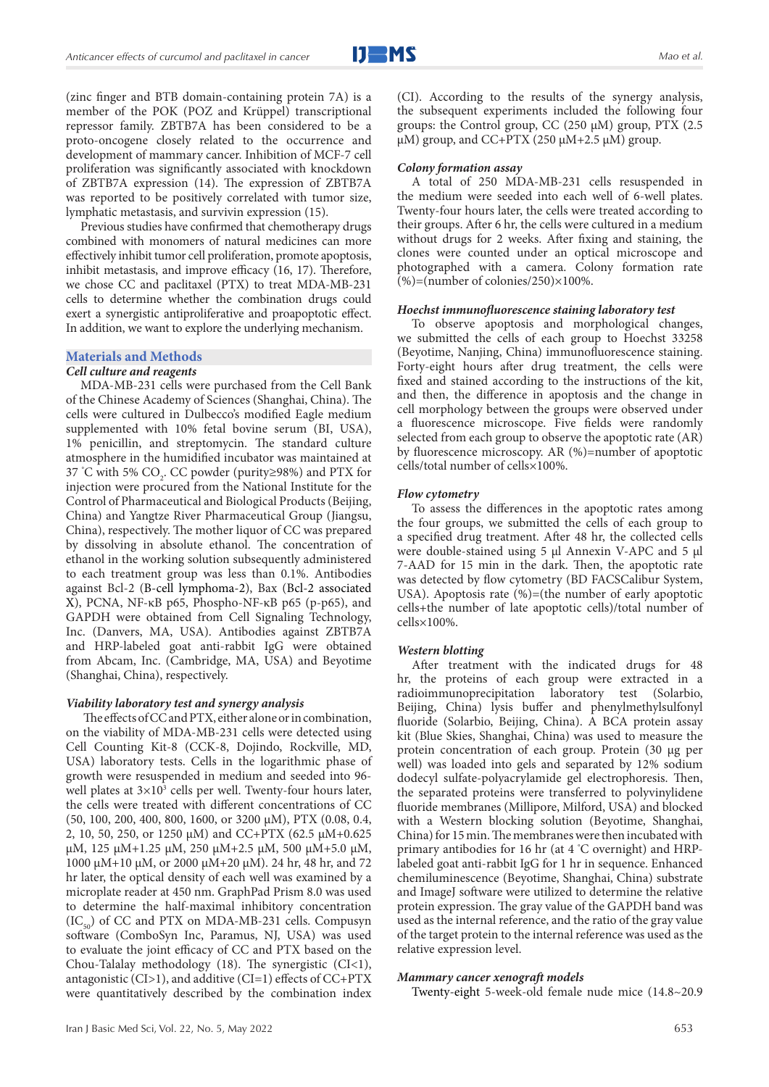(zinc finger and BTB domain-containing protein 7A) is a member of the POK (POZ and Krüppel) transcriptional repressor family. ZBTB7A has been considered to be a proto-oncogene closely related to the occurrence and development of mammary cancer. Inhibition of MCF-7 cell proliferation was significantly associated with knockdown of ZBTB7A expression (14). The expression of ZBTB7A was reported to be positively correlated with tumor size, lymphatic metastasis, and survivin expression (15).

Previous studies have confirmed that chemotherapy drugs combined with monomers of natural medicines can more effectively inhibit tumor cell proliferation, promote apoptosis, inhibit metastasis, and improve efficacy (16, 17). Therefore, we chose CC and paclitaxel (PTX) to treat MDA-MB-231 cells to determine whether the combination drugs could exert a synergistic antiproliferative and proapoptotic effect. In addition, we want to explore the underlying mechanism.

#### **Materials and Methods**

#### *Cell culture and reagents*

MDA-MB-231 cells were purchased from the Cell Bank of the Chinese Academy of Sciences (Shanghai, China). The cells were cultured in Dulbecco's modified Eagle medium supplemented with 10% fetal bovine serum (BI, USA), 1% penicillin, and streptomycin. The standard culture atmosphere in the humidified incubator was maintained at 37 °C with 5%  $CO_2$ . CC powder (purity≥98%) and PTX for injection were procured from the National Institute for the Control of Pharmaceutical and Biological Products (Beijing, China) and Yangtze River Pharmaceutical Group (Jiangsu, China), respectively. The mother liquor of CC was prepared by dissolving in absolute ethanol. The concentration of ethanol in the working solution subsequently administered to each treatment group was less than 0.1%. Antibodies against Bcl-2 (B-cell lymphoma-2), Bax (Bcl-2 associated X), PCNA, NF-κB p65, Phospho-NF-κB p65 (p-p65), and GAPDH were obtained from Cell Signaling Technology, Inc. (Danvers, MA, USA). Antibodies against ZBTB7A and HRP-labeled goat anti-rabbit IgG were obtained from Abcam, Inc. (Cambridge, MA, USA) and Beyotime (Shanghai, China), respectively.

#### *Viability laboratory test and synergy analysis*

 The effects of CC and PTX, either alone or in combination, on the viability of MDA-MB-231 cells were detected using Cell Counting Kit-8 (CCK-8, Dojindo, Rockville, MD, USA) laboratory tests. Cells in the logarithmic phase of growth were resuspended in medium and seeded into 96 well plates at  $3\times10^3$  cells per well. Twenty-four hours later, the cells were treated with different concentrations of CC (50, 100, 200, 400, 800, 1600, or 3200 μM), PTX (0.08, 0.4, 2, 10, 50, 250, or 1250 μM) and CC+PTX (62.5 μM+0.625 μM, 125 μM+1.25 μM, 250 μM+2.5 μM, 500 μM+5.0 μM, 1000 μM+10 μM, or 2000 μM+20 μM). 24 hr, 48 hr, and 72 hr later, the optical density of each well was examined by a microplate reader at 450 nm. GraphPad Prism 8.0 was used to determine the half-maximal inhibitory concentration  $(IC_{50})$  of CC and PTX on MDA-MB-231 cells. Compusyn software (ComboSyn Inc, Paramus, NJ, USA) was used to evaluate the joint efficacy of CC and PTX based on the Chou-Talalay methodology (18). The synergistic (CI<1), antagonistic (CI>1), and additive (CI=1) effects of CC+PTX were quantitatively described by the combination index

(CI). According to the results of the synergy analysis, the subsequent experiments included the following four groups: the Control group, CC (250 μM) group, PTX (2.5 μM) group, and  $\overline{C}C + \overline{PTX}$  (250 μM+2.5 μM) group.

#### *Colony formation assay*

A total of 250 MDA-MB-231 cells resuspended in the medium were seeded into each well of 6-well plates. Twenty-four hours later, the cells were treated according to their groups. After 6 hr, the cells were cultured in a medium without drugs for 2 weeks. After fixing and staining, the clones were counted under an optical microscope and photographed with a camera. Colony formation rate  $(\%) =$ (number of colonies/250) $\times$ 100%.

#### *Hoechst immunofluorescence staining laboratory test*

To observe apoptosis and morphological changes, we submitted the cells of each group to Hoechst 33258 (Beyotime, Nanjing, China) immunofluorescence staining. Forty-eight hours after drug treatment, the cells were fixed and stained according to the instructions of the kit, and then, the difference in apoptosis and the change in cell morphology between the groups were observed under a fluorescence microscope. Five fields were randomly selected from each group to observe the apoptotic rate (AR) by fluorescence microscopy. AR (%)=number of apoptotic cells/total number of cells×100%.

#### *Flow cytometry*

To assess the differences in the apoptotic rates among the four groups, we submitted the cells of each group to a specified drug treatment. After 48 hr, the collected cells were double-stained using 5 μl Annexin V-APC and 5 μl 7-AAD for 15 min in the dark. Then, the apoptotic rate was detected by flow cytometry (BD FACSCalibur System, USA). Apoptosis rate  $(\%)=($ the number of early apoptotic cells+the number of late apoptotic cells)/total number of cells×100%.

#### *Western blotting*

After treatment with the indicated drugs for 48 hr, the proteins of each group were extracted in a radioimmunoprecipitation laboratory test (Solarbio, Beijing, China) lysis buffer and phenylmethylsulfonyl fluoride (Solarbio, Beijing, China). A BCA protein assay kit (Blue Skies, Shanghai, China) was used to measure the protein concentration of each group. Protein (30 μg per well) was loaded into gels and separated by 12% sodium dodecyl sulfate-polyacrylamide gel electrophoresis. Then, the separated proteins were transferred to polyvinylidene fluoride membranes (Millipore, Milford, USA) and blocked with a Western blocking solution (Beyotime, Shanghai, China) for 15 min. The membranes were then incubated with primary antibodies for 16 hr (at 4 ° C overnight) and HRPlabeled goat anti-rabbit IgG for 1 hr in sequence. Enhanced chemiluminescence (Beyotime, Shanghai, China) substrate and ImageJ software were utilized to determine the relative protein expression. The gray value of the GAPDH band was used as the internal reference, and the ratio of the gray value of the target protein to the internal reference was used as the relative expression level.

#### *Mammary cancer xenograft models*

Twenty-eight 5-week-old female nude mice (14.8~20.9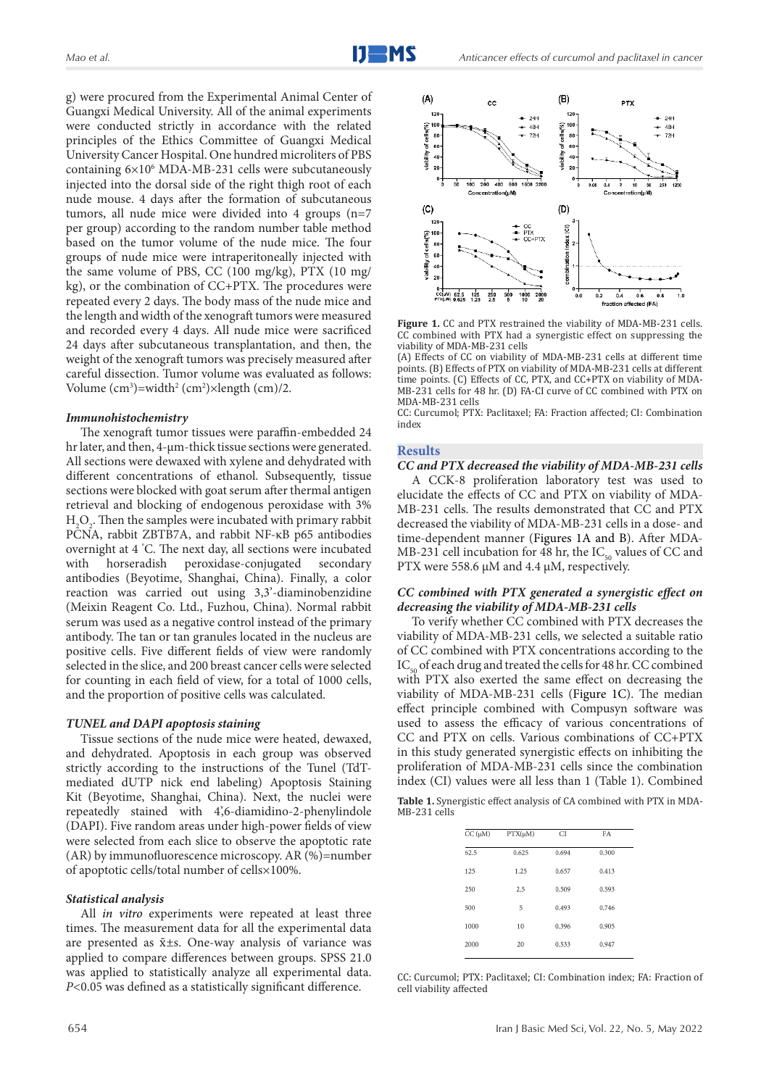g) were procured from the Experimental Animal Center of Guangxi Medical University. All of the animal experiments were conducted strictly in accordance with the related principles of the Ethics Committee of Guangxi Medical University Cancer Hospital. One hundred microliters of PBS containing 6×106 MDA-MB-231 cells were subcutaneously injected into the dorsal side of the right thigh root of each nude mouse. 4 days after the formation of subcutaneous tumors, all nude mice were divided into 4 groups (n=7 per group) according to the random number table method based on the tumor volume of the nude mice. The four groups of nude mice were intraperitoneally injected with the same volume of PBS, CC (100 mg/kg), PTX (10 mg/ kg), or the combination of CC+PTX. The procedures were repeated every 2 days. The body mass of the nude mice and the length and width of the xenograft tumors were measured and recorded every 4 days. All nude mice were sacrificed 24 days after subcutaneous transplantation, and then, the weight of the xenograft tumors was precisely measured after careful dissection. Tumor volume was evaluated as follows: Volume  $(cm^3)$ =width<sup>2</sup> (cm<sup>2</sup>)×length (cm)/2.

#### *Immunohistochemistry*

The xenograft tumor tissues were paraffin-embedded 24 hr later, and then, 4-μm-thick tissue sections were generated. All sections were dewaxed with xylene and dehydrated with different concentrations of ethanol. Subsequently, tissue sections were blocked with goat serum after thermal antigen retrieval and blocking of endogenous peroxidase with 3%  $H_2O_2$ . Then the samples were incubated with primary rabbit PCNA, rabbit ZBTB7A, and rabbit NF-κB p65 antibodies overnight at 4 ° C. The next day, all sections were incubated with horseradish peroxidase-conjugated secondary antibodies (Beyotime, Shanghai, China). Finally, a color reaction was carried out using 3,3'-diaminobenzidine (Meixin Reagent Co. Ltd., Fuzhou, China). Normal rabbit serum was used as a negative control instead of the primary antibody. The tan or tan granules located in the nucleus are positive cells. Five different fields of view were randomly selected in the slice, and 200 breast cancer cells were selected for counting in each field of view, for a total of 1000 cells, and the proportion of positive cells was calculated.

#### *TUNEL and DAPI apoptosis staining*

Tissue sections of the nude mice were heated, dewaxed, and dehydrated. Apoptosis in each group was observed strictly according to the instructions of the Tunel (TdTmediated dUTP nick end labeling) Apoptosis Staining Kit (Beyotime, Shanghai, China). Next, the nuclei were repeatedly stained with 4',6-diamidino-2-phenylindole (DAPI). Five random areas under high-power fields of view were selected from each slice to observe the apoptotic rate (AR) by immunofluorescence microscopy. AR (%)=number of apoptotic cells/total number of cells×100%.

#### *Statistical analysis*

All *in vitro* experiments were repeated at least three times. The measurement data for all the experimental data are presented as x̄±s. One-way analysis of variance was applied to compare differences between groups. SPSS 21.0 was applied to statistically analyze all experimental data. *P<*0.05 was defined as a statistically significant difference.



**Figure 1.** CC and PTX restrained the viability of MDA-MB-231 cells. CC combined with PTX had a synergistic effect on suppressing the viability of MDA-MB-231 cells

(A) Effects of CC on viability of MDA-MB-231 cells at different time points. (B) Effects of PTX on viability of MDA-MB-231 cells at different time points. (C) Effects of CC, PTX, and CC+PTX on viability of MDA-MB-231 cells for 48 hr. (D) FA-CI curve of CC combined with PTX on MDA-MB-231 cells

CC: Curcumol; PTX: Paclitaxel; FA: Fraction affected; CI: Combination index

#### **Results**

#### *CC and PTX decreased the viability of MDA-MB-231 cells*

A CCK-8 proliferation laboratory test was used to elucidate the effects of CC and PTX on viability of MDA-MB-231 cells. The results demonstrated that CC and PTX decreased the viability of MDA-MB-231 cells in a dose- and time-dependent manner (Figures 1A and B). After MDA-MB-231 cell incubation for 48 hr, the  $IC_{50}$  values of CC and PTX were 558.6 μM and 4.4 μM, respectively.

#### *CC combined with PTX generated a synergistic effect on*  1 *decreasing the viability of MDA-MB-231 cells*

To verify whether CC combined with PTX decreases the viability of MDA-MB-231 cells, we selected a suitable ratio of CC combined with PTX concentrations according to the  $IC_{50}$  of each drug and treated the cells for 48 hr. CC combined with PTX also exerted the same effect on decreasing the viability of MDA-MB-231 cells (Figure 1C). The median effect principle combined with Compusyn software was used to assess the efficacy of various concentrations of CC and PTX on cells. Various combinations of CC+PTX in this study generated synergistic effects on inhibiting the proliferation of MDA-MB-231 cells since the combination index (CI) values were all less than 1 (Table 1). Combined

**Table 1.** Synergistic effect analysis of CA combined with PTX in MDA-MB-231 cells

| $CC(\mu M)$ | $PTX(\mu M)$ | <b>CI</b> | FA    |  |
|-------------|--------------|-----------|-------|--|
| 62.5        | 0.625        | 0.694     | 0.300 |  |
| 125         | 1.25         | 0.657     | 0.413 |  |
| 250         | 2.5          | 0.509     | 0.593 |  |
| 500         | 5            | 0.493     | 0.746 |  |
| 1000        | 10           | 0.396     | 0.905 |  |
| 2000        | 20           | 0.533     | 0.947 |  |
|             |              |           |       |  |

CC: Curcumol; PTX: Paclitaxel; CI: Combination index; FA: Fraction of cell viability affected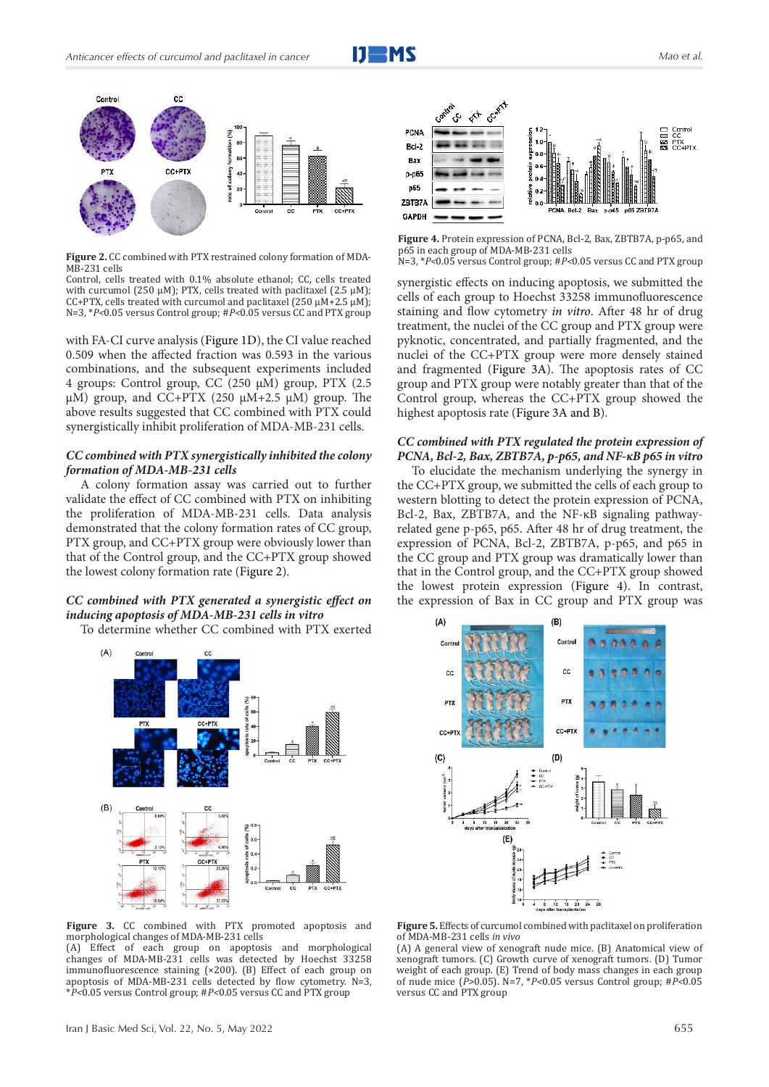



**Figure 2.** CC combined with PTX restrained colony formation of MDA-MB-231 cells

Control, cells treated with 0.1% absolute ethanol; CC, cells treated with curcumol (250 μM); PTX, cells treated with paclitaxel (2.5 μM); CC+PTX, cells treated with curcumol and paclitaxel  $(250 \mu M+2.5 \mu M)$ ; N=3, \**P<*0.05 versus Control group; #*P<*0.05 versus CC and PTX group

with FA-CI curve analysis (Figure 1D), the CI value reached 0.509 when the affected fraction was 0.593 in the various combinations, and the subsequent experiments included 4 groups: Control group, CC (250 μM) group, PTX (2.5 μM) group, and CC+PTX (250 μM+2.5 μM) group. The above results suggested that CC combined with PTX could synergistically inhibit proliferation of MDA-MB-231 cells.

#### *CC combined with PTX synergistically inhibited the colony formation of MDA-MB-231 cells*

A colony formation assay was carried out to further validate the effect of CC combined with PTX on inhibiting the proliferation of MDA-MB-231 cells. Data analysis demonstrated that the colony formation rates of CC group, PTX group, and CC+PTX group were obviously lower than that of the Control group, and the CC+PTX group showed the lowest colony formation rate (Figure 2).

#### *CC combined with PTX generated a synergistic effect on inducing apoptosis of MDA-MB-231 cells in vitro*

To determine whether CC combined with PTX exerted



**Figure 3.** CC combined with PTX promoted apoptosis and morphological changes of MDA-MB-231 cells

(A) Effect of each group on apoptosis and morphological changes of MDA-MB-231 cells was detected by Hoechst 33258 immunofluorescence staining (×200). (B) Effect of each group on apoptosis of MDA-MB-231 cells detected by flow cytometry. N=3, \**P<*0.05 versus Control group; #*P<*0.05 versus CC and PTX group



**Figure 4.** Protein expression of PCNA, Bcl-2, Bax, ZBTB7A, p-p65, and p65 in each group of MDA-MB-231 cells N=3, \**P<*0.05 versus Control group; #*P<*0.05 versus CC and PTX group

synergistic effects on inducing apoptosis, we submitted the cells of each group to Hoechst 33258 immunofluorescence staining and flow cytometry *in vitro*. After 48 hr of drug treatment, the nuclei of the CC group and PTX group were pyknotic, concentrated, and partially fragmented, and the nuclei of the CC+PTX group were more densely stained and fragmented (Figure 3A). The apoptosis rates of CC group and PTX group were notably greater than that of the Control group, whereas the CC+PTX group showed the highest apoptosis rate (Figure 3A and B).

#### *CC combined with PTX regulated the protein expression of PCNA, Bcl-2, Bax, ZBTB7A, p-p65, and NF-κB p65 in vitro*

To elucidate the mechanism underlying the synergy in the CC+PTX group, we submitted the cells of each group to western blotting to detect the protein expression of PCNA, Bcl-2, Bax, ZBTB7A, and the NF-κB signaling pathwayrelated gene p-p65, p65. After 48 hr of drug treatment, the expression of PCNA, Bcl-2, ZBTB7A, p-p65, and p65 in the CC group and PTX group was dramatically lower than that in the Control group, and the CC+PTX group showed the lowest protein expression (Figure 4). In contrast, the expression of Bax in CC group and PTX group was



**Figure 5.** Effects of curcumol combined with paclitaxel on proliferation of MDA-MB-231 cells *in vivo*

(A) A general view of xenograft nude mice. (B) Anatomical view of xenograft tumors. (C) Growth curve of xenograft tumors. (D) Tumor weight of each group. (E) Trend of body mass changes in each group of nude mice (*P>*0.05). N=7, \**P<*0.05 versus Control group; #*P<*0.05 versus CC and PTX group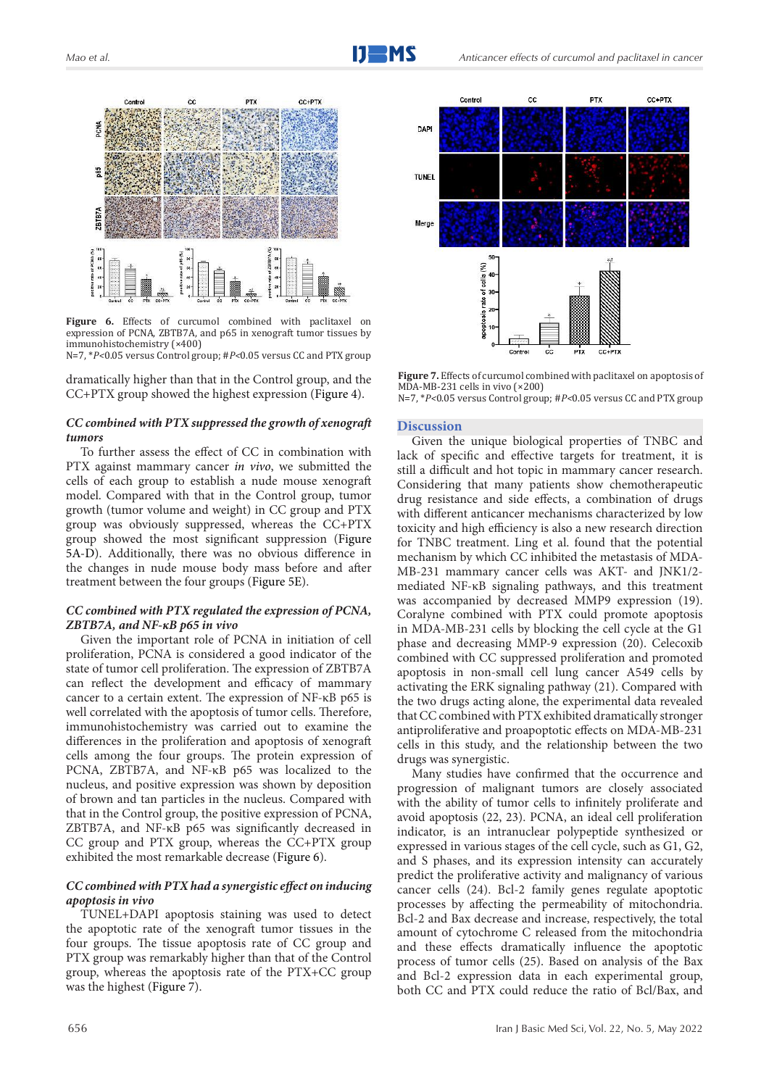

**Figure 6.** Effects of curcumol combined with paclitaxel on expression of PCNA, ZBTB7A, and p65 in xenograft tumor tissues by immunohistochemistry (×400) N=7, \**P<*0.05 versus Control group; #*P<*0.05 versus CC and PTX group

dramatically higher than that in the Control group, and the CC+PTX group showed the highest expression (Figure 4).

### *CC combined with PTX suppressed the growth of xenograft tumors*

To further assess the effect of CC in combination with PTX against mammary cancer *in vivo*, we submitted the cells of each group to establish a nude mouse xenograft model. Compared with that in the Control group, tumor growth (tumor volume and weight) in CC group and PTX group was obviously suppressed, whereas the CC+PTX group showed the most significant suppression (Figure 5A-D). Additionally, there was no obvious difference in the changes in nude mouse body mass before and after treatment between the four groups (Figure 5E).

#### *CC combined with PTX regulated the expression of PCNA, ZBTB7A, and NF-κB p65 in vivo*

Given the important role of PCNA in initiation of cell proliferation, PCNA is considered a good indicator of the state of tumor cell proliferation. The expression of ZBTB7A can reflect the development and efficacy of mammary cancer to a certain extent. The expression of NF-κB p65 is well correlated with the apoptosis of tumor cells. Therefore, immunohistochemistry was carried out to examine the differences in the proliferation and apoptosis of xenograft cells among the four groups. The protein expression of PCNA, ZBTB7A, and NF-κB p65 was localized to the nucleus, and positive expression was shown by deposition of brown and tan particles in the nucleus. Compared with that in the Control group, the positive expression of PCNA, ZBTB7A, and NF-κB p65 was significantly decreased in CC group and PTX group, whereas the CC+PTX group exhibited the most remarkable decrease (Figure 6).

#### *CC combined with PTX had a synergistic effect on inducing apoptosis in vivo*

TUNEL+DAPI apoptosis staining was used to detect the apoptotic rate of the xenograft tumor tissues in the four groups. The tissue apoptosis rate of CC group and PTX group was remarkably higher than that of the Control group, whereas the apoptosis rate of the PTX+CC group was the highest (Figure 7).



**Figure 7.** Effects of curcumol combined with paclitaxel on apoptosis of MDA-MB-231 cells in vivo (×200) N=7, \**P<*0.05 versus Control group; #*P<*0.05 versus CC and PTX group

#### **Discussion**

Given the unique biological properties of TNBC and lack of specific and effective targets for treatment, it is still a difficult and hot topic in mammary cancer research. Considering that many patients show chemotherapeutic drug resistance and side effects, a combination of drugs with different anticancer mechanisms characterized by low toxicity and high efficiency is also a new research direction for TNBC treatment. Ling et al. found that the potential mechanism by which CC inhibited the metastasis of MDA-MB-231 mammary cancer cells was AKT- and JNK1/2 mediated NF-κB signaling pathways, and this treatment was accompanied by decreased MMP9 expression (19). Coralyne combined with PTX could promote apoptosis in MDA-MB-231 cells by blocking the cell cycle at the G1 phase and decreasing MMP-9 expression (20). Celecoxib combined with CC suppressed proliferation and promoted apoptosis in non-small cell lung cancer A549 cells by activating the ERK signaling pathway (21). Compared with the two drugs acting alone, the experimental data revealed that CC combined with PTX exhibited dramatically stronger antiproliferative and proapoptotic effects on MDA-MB-231 cells in this study, and the relationship between the two drugs was synergistic.

Many studies have confirmed that the occurrence and progression of malignant tumors are closely associated with the ability of tumor cells to infinitely proliferate and avoid apoptosis (22, 23). PCNA, an ideal cell proliferation indicator, is an intranuclear polypeptide synthesized or expressed in various stages of the cell cycle, such as G1, G2, and S phases, and its expression intensity can accurately predict the proliferative activity and malignancy of various cancer cells (24). Bcl-2 family genes regulate apoptotic processes by affecting the permeability of mitochondria. Bcl-2 and Bax decrease and increase, respectively, the total amount of cytochrome C released from the mitochondria and these effects dramatically influence the apoptotic process of tumor cells (25). Based on analysis of the Bax and Bcl-2 expression data in each experimental group, both CC and PTX could reduce the ratio of Bcl/Bax, and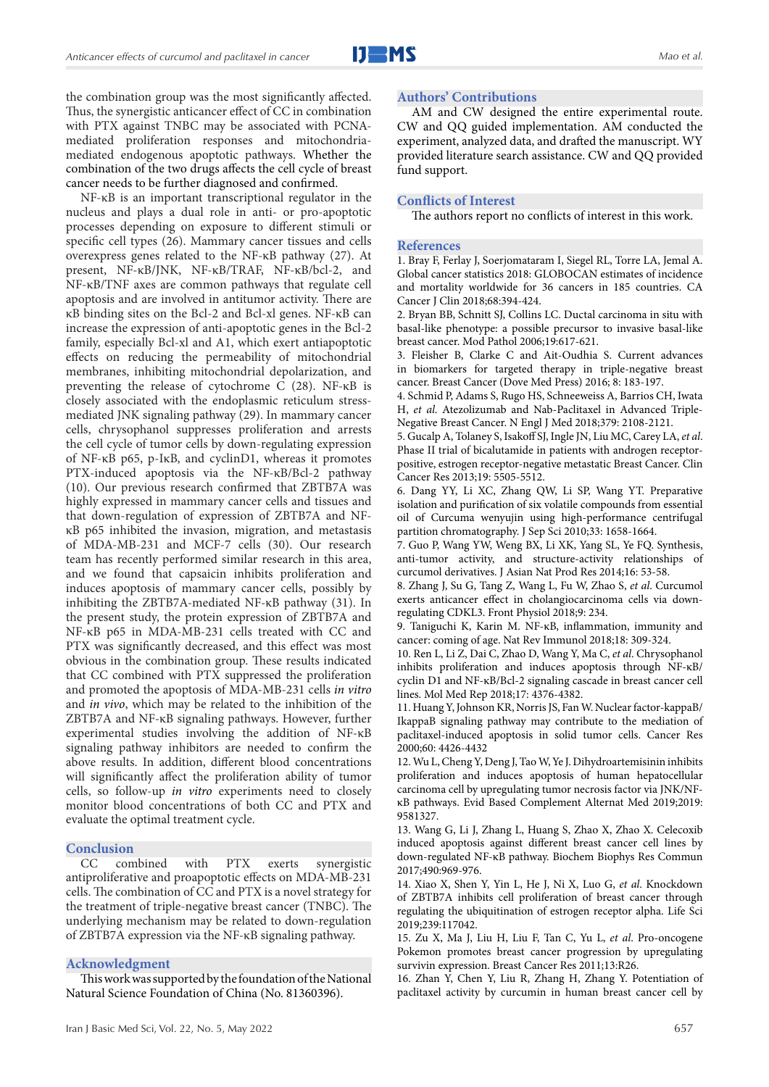the combination group was the most significantly affected. Thus, the synergistic anticancer effect of CC in combination with PTX against TNBC may be associated with PCNAmediated proliferation responses and mitochondriamediated endogenous apoptotic pathways. Whether the combination of the two drugs affects the cell cycle of breast cancer needs to be further diagnosed and confirmed.

NF-κB is an important transcriptional regulator in the nucleus and plays a dual role in anti- or pro-apoptotic processes depending on exposure to different stimuli or specific cell types (26). Mammary cancer tissues and cells overexpress genes related to the NF-κB pathway (27). At present, NF-κB/JNK, NF-κB/TRAF, NF-κB/bcl-2, and NF-κB/TNF axes are common pathways that regulate cell apoptosis and are involved in antitumor activity. There are κB binding sites on the Bcl-2 and Bcl-xl genes. NF-κB can increase the expression of anti-apoptotic genes in the Bcl-2 family, especially Bcl-xl and A1, which exert antiapoptotic effects on reducing the permeability of mitochondrial membranes, inhibiting mitochondrial depolarization, and preventing the release of cytochrome C (28). NF-κB is closely associated with the endoplasmic reticulum stressmediated JNK signaling pathway (29). In mammary cancer cells, chrysophanol suppresses proliferation and arrests the cell cycle of tumor cells by down-regulating expression of NF-κB p65, p-IκB, and cyclinD1, whereas it promotes PTX-induced apoptosis via the NF-κB/Bcl-2 pathway (10). Our previous research confirmed that ZBTB7A was highly expressed in mammary cancer cells and tissues and that down-regulation of expression of ZBTB7A and NFκB p65 inhibited the invasion, migration, and metastasis of MDA-MB-231 and MCF-7 cells (30). Our research team has recently performed similar research in this area, and we found that capsaicin inhibits proliferation and induces apoptosis of mammary cancer cells, possibly by inhibiting the ZBTB7A-mediated NF-κB pathway (31). In the present study, the protein expression of ZBTB7A and NF-κB p65 in MDA-MB-231 cells treated with CC and PTX was significantly decreased, and this effect was most obvious in the combination group. These results indicated that CC combined with PTX suppressed the proliferation and promoted the apoptosis of MDA-MB-231 cells *in vitro* and *in vivo*, which may be related to the inhibition of the ZBTB7A and NF-κB signaling pathways. However, further experimental studies involving the addition of NF-κB signaling pathway inhibitors are needed to confirm the above results. In addition, different blood concentrations will significantly affect the proliferation ability of tumor cells, so follow-up *in vitro* experiments need to closely monitor blood concentrations of both CC and PTX and evaluate the optimal treatment cycle.

#### **Conclusion**

CC combined with PTX exerts synergistic antiproliferative and proapoptotic effects on MDA-MB-231 cells. The combination of CC and PTX is a novel strategy for the treatment of triple-negative breast cancer (TNBC). The underlying mechanism may be related to down-regulation of ZBTB7A expression via the NF-κB signaling pathway.

#### **Acknowledgment**

This work was supported by the foundation of the National Natural Science Foundation of China (No. 81360396).

#### **Authors' Contributions**

AM and CW designed the entire experimental route. CW and QQ guided implementation. AM conducted the experiment, analyzed data, and drafted the manuscript. WY provided literature search assistance. CW and QQ provided fund support.

#### **Conflicts of Interest**

The authors report no conflicts of interest in this work.

#### **References**

1. Bray F, Ferlay J, Soerjomataram I, Siegel RL, Torre LA, Jemal A. Global cancer statistics 2018: GLOBOCAN estimates of incidence and mortality worldwide for 36 cancers in 185 countries. CA Cancer J Clin 2018;68:394-424.

2. Bryan BB, Schnitt SJ, Collins LC. Ductal carcinoma in situ with basal-like phenotype: a possible precursor to invasive basal-like breast cancer. Mod Pathol 2006;19:617-621.

3. Fleisher B, Clarke C and Ait-Oudhia S. Current advances in biomarkers for targeted therapy in triple-negative breast cancer. Breast Cancer (Dove Med Press) 2016; 8: 183-197.

4. Schmid P, Adams S, Rugo HS, Schneeweiss A, Barrios CH, Iwata H, *et al*. Atezolizumab and Nab-Paclitaxel in Advanced Triple-Negative Breast Cancer. N Engl J Med 2018;379: 2108-2121.

5. Gucalp A, Tolaney S, Isakoff SJ, Ingle JN, Liu MC, Carey LA, *et al*. Phase II trial of bicalutamide in patients with androgen receptorpositive, estrogen receptor-negative metastatic Breast Cancer. Clin Cancer Res 2013;19: 5505-5512.

6. Dang YY, Li XC, Zhang QW, Li SP, Wang YT. Preparative isolation and purification of six volatile compounds from essential oil of Curcuma wenyujin using high-performance centrifugal partition chromatography. J Sep Sci 2010;33: 1658-1664.

7. Guo P, Wang YW, Weng BX, Li XK, Yang SL, Ye FQ. Synthesis, anti-tumor activity, and structure-activity relationships of curcumol derivatives. J Asian Nat Prod Res 2014;16: 53-58.

8. Zhang J, Su G, Tang Z, Wang L, Fu W, Zhao S, *et al*. Curcumol exerts anticancer effect in cholangiocarcinoma cells via downregulating CDKL3. Front Physiol 2018;9: 234.

9. Taniguchi K, Karin M. NF-κB, inflammation, immunity and cancer: coming of age. Nat Rev Immunol 2018;18: 309-324.

10. Ren L, Li Z, Dai C, Zhao D, Wang Y, Ma C, *et al*. Chrysophanol inhibits proliferation and induces apoptosis through NF-κB/ cyclin D1 and NF-κB/Bcl-2 signaling cascade in breast cancer cell lines. Mol Med Rep 2018;17: 4376-4382.

11. Huang Y, Johnson KR, Norris JS, Fan W. Nuclear factor-kappaB/ IkappaB signaling pathway may contribute to the mediation of paclitaxel-induced apoptosis in solid tumor cells. Cancer Res 2000;60: 4426-4432

12. Wu L, Cheng Y, Deng J, Tao W, Ye J. Dihydroartemisinin inhibits proliferation and induces apoptosis of human hepatocellular carcinoma cell by upregulating tumor necrosis factor via JNK/NFκB pathways. Evid Based Complement Alternat Med 2019;2019: 9581327.

13. Wang G, Li J, Zhang L, Huang S, Zhao X, Zhao X. Celecoxib induced apoptosis against different breast cancer cell lines by down-regulated NF-κB pathway. Biochem Biophys Res Commun 2017;490:969-976.

14. Xiao X, Shen Y, Yin L, He J, Ni X, Luo G, *et al*. Knockdown of ZBTB7A inhibits cell proliferation of breast cancer through regulating the ubiquitination of estrogen receptor alpha. Life Sci 2019;239:117042.

15. Zu X, Ma J, Liu H, Liu F, Tan C, Yu L, *et al*. Pro-oncogene Pokemon promotes breast cancer progression by upregulating survivin expression. Breast Cancer Res 2011;13:R26.

16. Zhan Y, Chen Y, Liu R, Zhang H, Zhang Y. Potentiation of paclitaxel activity by curcumin in human breast cancer cell by